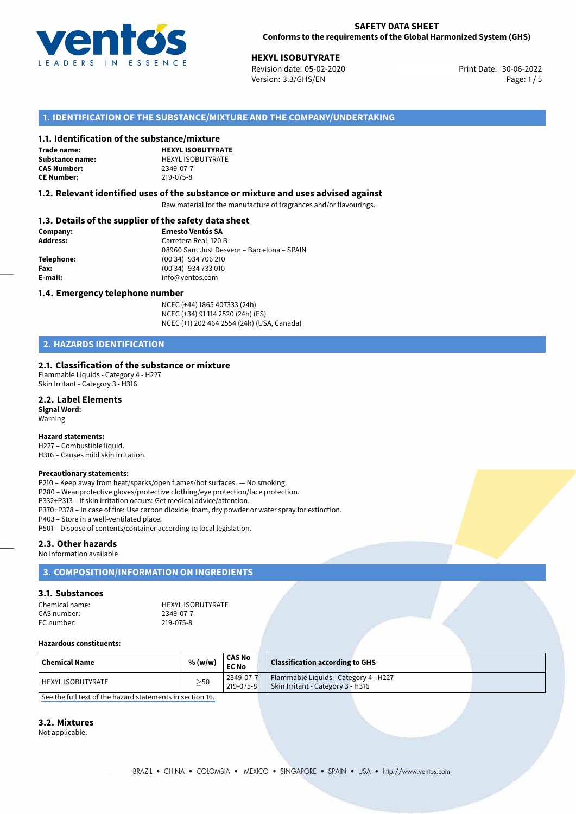

30-06-2022 **HEXYL ISOBUTYRATE** Revision date: 05-02-2020 Print Date: Version: 3.3/GHS/EN Page: 1/5

# **1. IDENTIFICATION OF THE SUBSTANCE/MIXTURE AND THE COMPANY/UNDERTAKING**

#### **1.1. Identification of the substance/mixture**

**Trade name: CAS Number: CE Number:** 219-075-8

**HEXYL ISOBUTYRATE Substance name:** HEXYL ISOBUTYRATE<br> **CAS Number:** 2349-07-7

### **1.2. Relevant identified uses of the substance or mixture and uses advised against**

Raw material for the manufacture of fragrances and/or flavourings.

# **1.3. Details of the supplier of the safety data sheet**

| Company:        | <b>Ernesto Ventós SA</b>                    |
|-----------------|---------------------------------------------|
| <b>Address:</b> | Carretera Real, 120 B                       |
|                 | 08960 Sant Just Desvern - Barcelona - SPAIN |
| Telephone:      | (00 34) 934 706 210                         |
| Fax:            | (00 34) 934 733 010                         |
| E-mail:         | info@ventos.com                             |
|                 |                                             |

#### **1.4. Emergency telephone number**

NCEC (+44) 1865 407333 (24h) NCEC (+34) 91 114 2520 (24h) (ES) NCEC (+1) 202 464 2554 (24h) (USA, Canada)

# **2. HAZARDS IDENTIFICATION**

#### **2.1. Classification of the substance or mixture**

Flammable Liquids - Category 4 - H227 Skin Irritant - Category 3 - H316

# **2.2. Label Elements**

**Signal Word:** Warning

#### **Hazard statements:**

H227 – Combustible liquid. H316 – Causes mild skin irritation.

#### **Precautionary statements:**

P210 – Keep away from heat/sparks/open flames/hot surfaces. — No smoking. P280 – Wear protective gloves/protective clothing/eye protection/face protection. P332+P313 – If skin irritation occurs: Get medical advice/attention. P370+P378 – In case of fire: Use carbon dioxide, foam, dry powder or water spray for extinction. P403 – Store in a well-ventilated place. P501 – Dispose of contents/container according to local legislation.

### **2.3. Other hazards**

No Information available

## **3. COMPOSITION/INFORMATION ON INGREDIENTS**

#### **3.1. Substances**

Chemical name: 
HEXYL ISOBUTYRATE<br>
CAS number: 
2349-07-7 CAS number: EC number: 219-075-8

#### **Hazardous constituents:**

| $\mid$ Chemical Name | % (w/w)   | <b>CAS No</b><br><b>EC No</b> | <b>Classification according to GHS</b> |  |
|----------------------|-----------|-------------------------------|----------------------------------------|--|
| HEXYL ISOBUTYRATE    | $\geq$ 50 | 2349-07-7                     | Flammable Liquids - Category 4 - H227  |  |
|                      |           | 219-075-8                     | Skin Irritant - Category 3 - H316      |  |

[See the full text of the hazard statements in section 16.](#page--1-0)

#### **3.2. Mixtures**

Not applicable.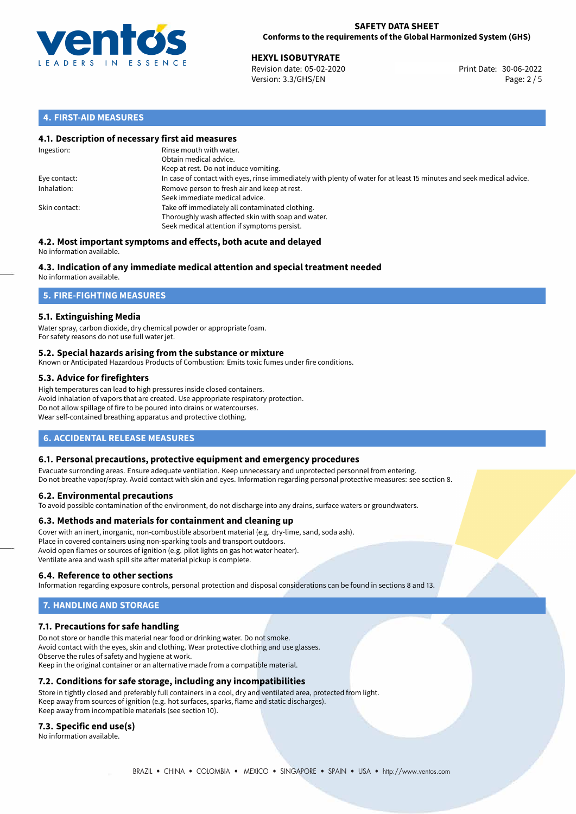

# **SAFETY DATA SHEET Conforms to the requirements of the Global Harmonized System (GHS)**

**HEXYL ISOBUTYRATE**<br>
Revision date: 05-02-2020 **Print Date: 30-06-2022** Version: 3.3/GHS/EN Page: 2 / 5

# **4. FIRST-AID MEASURES**

# **4.1. Description of necessary first aid measures**

| Ingestion:    | Rinse mouth with water.<br>Obtain medical advice.<br>Keep at rest. Do not induce vomiting.                                                           |
|---------------|------------------------------------------------------------------------------------------------------------------------------------------------------|
| Eye contact:  | In case of contact with eyes, rinse immediately with plenty of water for at least 15 minutes and seek medical advice.                                |
| Inhalation:   | Remove person to fresh air and keep at rest.<br>Seek immediate medical advice.                                                                       |
| Skin contact: | Take off immediately all contaminated clothing.<br>Thoroughly wash affected skin with soap and water.<br>Seek medical attention if symptoms persist. |

#### **4.2. Most important symptoms and effects, both acute and delayed** No information available.

# **4.3. Indication of any immediate medical attention and special treatment needed**

No information available.

# **5. FIRE-FIGHTING MEASURES**

# **5.1. Extinguishing Media**

Water spray, carbon dioxide, dry chemical powder or appropriate foam. For safety reasons do not use full water jet.

# **5.2. Special hazards arising from the substance or mixture**

Known or Anticipated Hazardous Products of Combustion: Emits toxic fumes under fire conditions.

# **5.3. Advice for firefighters**

High temperatures can lead to high pressures inside closed containers. Avoid inhalation of vapors that are created. Use appropriate respiratory protection. Do not allow spillage of fire to be poured into drains or watercourses. Wear self-contained breathing apparatus and protective clothing.

# **6. ACCIDENTAL RELEASE MEASURES**

# **6.1. Personal precautions, protective equipment and emergency procedures**

Evacuate surronding areas. Ensure adequate ventilation. Keep unnecessary and unprotected personnel from entering. Do not breathe vapor/spray. Avoid contact with skin and eyes. Information regarding personal protective measures: see section 8.

# **6.2. Environmental precautions**

To avoid possible contamination of the environment, do not discharge into any drains, surface waters or groundwaters.

# **6.3. Methods and materials for containment and cleaning up**

Cover with an inert, inorganic, non-combustible absorbent material (e.g. dry-lime, sand, soda ash). Place in covered containers using non-sparking tools and transport outdoors. Avoid open flames or sources of ignition (e.g. pilot lights on gas hot water heater). Ventilate area and wash spill site after material pickup is complete.

# **6.4. Reference to other sections**

Information regarding exposure controls, personal protection and disposal considerations can be found in sections 8 and 13.

# **7. HANDLING AND STORAGE**

# **7.1. Precautions for safe handling**

Do not store or handle this material near food or drinking water. Do not smoke. Avoid contact with the eyes, skin and clothing. Wear protective clothing and use glasses. Observe the rules of safety and hygiene at work. Keep in the original container or an alternative made from a compatible material.

# **7.2. Conditions for safe storage, including any incompatibilities**

Store in tightly closed and preferably full containers in a cool, dry and ventilated area, protected from light. Keep away from sources of ignition (e.g. hot surfaces, sparks, flame and static discharges). Keep away from incompatible materials (see section 10).

# **7.3. Specific end use(s)**

No information available.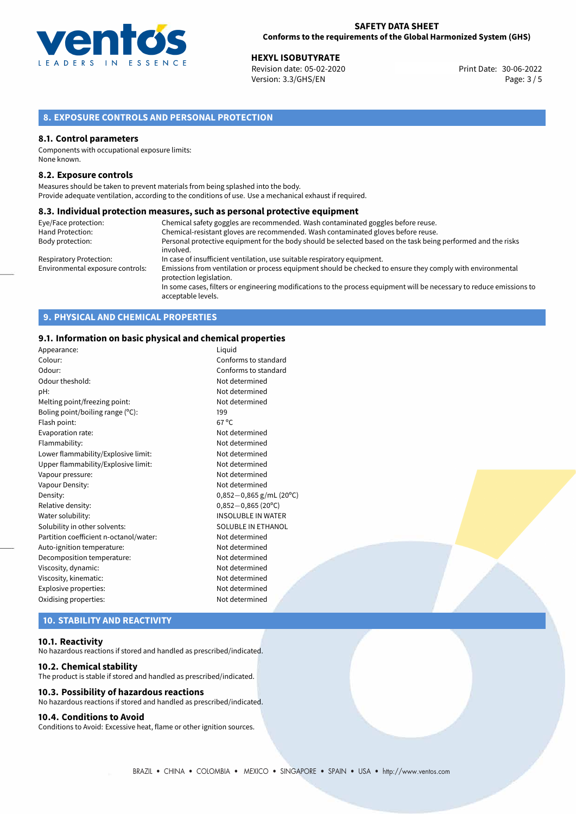

**HEXYL ISOBUTYRATE**<br>
Revision date: 05-02-2020 **Print Date: 30-06-2022** Version: 3.3/GHS/EN Page: 3 / 5

# **8. EXPOSURE CONTROLS AND PERSONAL PROTECTION**

### **8.1. Control parameters**

Components with occupational exposure limits: None known.

### **8.2. Exposure controls**

Measures should be taken to prevent materials from being splashed into the body. Provide adequate ventilation, according to the conditions of use. Use a mechanical exhaust if required.

### **8.3. Individual protection measures, such as personal protective equipment**

| Eye/Face protection:             | Chemical safety goggles are recommended. Wash contaminated goggles before reuse.                                                            |
|----------------------------------|---------------------------------------------------------------------------------------------------------------------------------------------|
| Hand Protection:                 | Chemical-resistant gloves are recommended. Wash contaminated gloves before reuse.                                                           |
| Body protection:                 | Personal protective equipment for the body should be selected based on the task being performed and the risks<br>involved.                  |
| Respiratory Protection:          | In case of insufficient ventilation, use suitable respiratory equipment.                                                                    |
| Environmental exposure controls: | Emissions from ventilation or process equipment should be checked to ensure they comply with environmental<br>protection legislation.       |
|                                  | In some cases, filters or engineering modifications to the process equipment will be necessary to reduce emissions to<br>acceptable levels. |

# **9. PHYSICAL AND CHEMICAL PROPERTIES**

### **9.1. Information on basic physical and chemical properties**

| Conforms to standard<br>Colour:<br>Odour:<br>Conforms to standard<br>Odour theshold:<br>Not determined<br>Not determined<br>pH:<br>Not determined<br>Melting point/freezing point:<br>Boling point/boiling range (°C):<br>199<br>$67^{\circ}$ C<br>Flash point:<br>Evaporation rate:<br>Not determined<br>Flammability:<br>Not determined<br>Lower flammability/Explosive limit:<br>Not determined<br>Upper flammability/Explosive limit:<br>Not determined<br>Not determined<br>Vapour pressure:<br>Not determined<br>Vapour Density:<br>Density:<br>$0,852 - 0,865$ (20°C)<br>Relative density:<br><b>INSOLUBLE IN WATER</b><br>Water solubility:<br>Solubility in other solvents:<br>SOLUBLE IN ETHANOL<br>Partition coefficient n-octanol/water:<br>Not determined<br>Auto-ignition temperature:<br>Not determined<br>Decomposition temperature:<br>Not determined<br>Viscosity, dynamic:<br>Not determined<br>Not determined<br>Viscosity, kinematic:<br>Explosive properties:<br>Not determined<br>Oxidising properties:<br>Not determined | Appearance: | Liguid                    |
|--------------------------------------------------------------------------------------------------------------------------------------------------------------------------------------------------------------------------------------------------------------------------------------------------------------------------------------------------------------------------------------------------------------------------------------------------------------------------------------------------------------------------------------------------------------------------------------------------------------------------------------------------------------------------------------------------------------------------------------------------------------------------------------------------------------------------------------------------------------------------------------------------------------------------------------------------------------------------------------------------------------------------------------------------|-------------|---------------------------|
|                                                                                                                                                                                                                                                                                                                                                                                                                                                                                                                                                                                                                                                                                                                                                                                                                                                                                                                                                                                                                                                  |             |                           |
|                                                                                                                                                                                                                                                                                                                                                                                                                                                                                                                                                                                                                                                                                                                                                                                                                                                                                                                                                                                                                                                  |             |                           |
|                                                                                                                                                                                                                                                                                                                                                                                                                                                                                                                                                                                                                                                                                                                                                                                                                                                                                                                                                                                                                                                  |             |                           |
|                                                                                                                                                                                                                                                                                                                                                                                                                                                                                                                                                                                                                                                                                                                                                                                                                                                                                                                                                                                                                                                  |             |                           |
|                                                                                                                                                                                                                                                                                                                                                                                                                                                                                                                                                                                                                                                                                                                                                                                                                                                                                                                                                                                                                                                  |             |                           |
|                                                                                                                                                                                                                                                                                                                                                                                                                                                                                                                                                                                                                                                                                                                                                                                                                                                                                                                                                                                                                                                  |             |                           |
|                                                                                                                                                                                                                                                                                                                                                                                                                                                                                                                                                                                                                                                                                                                                                                                                                                                                                                                                                                                                                                                  |             |                           |
|                                                                                                                                                                                                                                                                                                                                                                                                                                                                                                                                                                                                                                                                                                                                                                                                                                                                                                                                                                                                                                                  |             |                           |
|                                                                                                                                                                                                                                                                                                                                                                                                                                                                                                                                                                                                                                                                                                                                                                                                                                                                                                                                                                                                                                                  |             |                           |
|                                                                                                                                                                                                                                                                                                                                                                                                                                                                                                                                                                                                                                                                                                                                                                                                                                                                                                                                                                                                                                                  |             |                           |
|                                                                                                                                                                                                                                                                                                                                                                                                                                                                                                                                                                                                                                                                                                                                                                                                                                                                                                                                                                                                                                                  |             |                           |
|                                                                                                                                                                                                                                                                                                                                                                                                                                                                                                                                                                                                                                                                                                                                                                                                                                                                                                                                                                                                                                                  |             |                           |
|                                                                                                                                                                                                                                                                                                                                                                                                                                                                                                                                                                                                                                                                                                                                                                                                                                                                                                                                                                                                                                                  |             |                           |
|                                                                                                                                                                                                                                                                                                                                                                                                                                                                                                                                                                                                                                                                                                                                                                                                                                                                                                                                                                                                                                                  |             | $0,852-0,865$ g/mL (20°C) |
|                                                                                                                                                                                                                                                                                                                                                                                                                                                                                                                                                                                                                                                                                                                                                                                                                                                                                                                                                                                                                                                  |             |                           |
|                                                                                                                                                                                                                                                                                                                                                                                                                                                                                                                                                                                                                                                                                                                                                                                                                                                                                                                                                                                                                                                  |             |                           |
|                                                                                                                                                                                                                                                                                                                                                                                                                                                                                                                                                                                                                                                                                                                                                                                                                                                                                                                                                                                                                                                  |             |                           |
|                                                                                                                                                                                                                                                                                                                                                                                                                                                                                                                                                                                                                                                                                                                                                                                                                                                                                                                                                                                                                                                  |             |                           |
|                                                                                                                                                                                                                                                                                                                                                                                                                                                                                                                                                                                                                                                                                                                                                                                                                                                                                                                                                                                                                                                  |             |                           |
|                                                                                                                                                                                                                                                                                                                                                                                                                                                                                                                                                                                                                                                                                                                                                                                                                                                                                                                                                                                                                                                  |             |                           |
|                                                                                                                                                                                                                                                                                                                                                                                                                                                                                                                                                                                                                                                                                                                                                                                                                                                                                                                                                                                                                                                  |             |                           |
|                                                                                                                                                                                                                                                                                                                                                                                                                                                                                                                                                                                                                                                                                                                                                                                                                                                                                                                                                                                                                                                  |             |                           |
|                                                                                                                                                                                                                                                                                                                                                                                                                                                                                                                                                                                                                                                                                                                                                                                                                                                                                                                                                                                                                                                  |             |                           |
|                                                                                                                                                                                                                                                                                                                                                                                                                                                                                                                                                                                                                                                                                                                                                                                                                                                                                                                                                                                                                                                  |             |                           |

# **10. STABILITY AND REACTIVITY**

#### **10.1. Reactivity**

No hazardous reactions if stored and handled as prescribed/indicated.

#### **10.2. Chemical stability**

The product is stable if stored and handled as prescribed/indicated.

## **10.3. Possibility of hazardous reactions**

No hazardous reactions if stored and handled as prescribed/indicated.

# **10.4. Conditions to Avoid**

Conditions to Avoid: Excessive heat, flame or other ignition sources.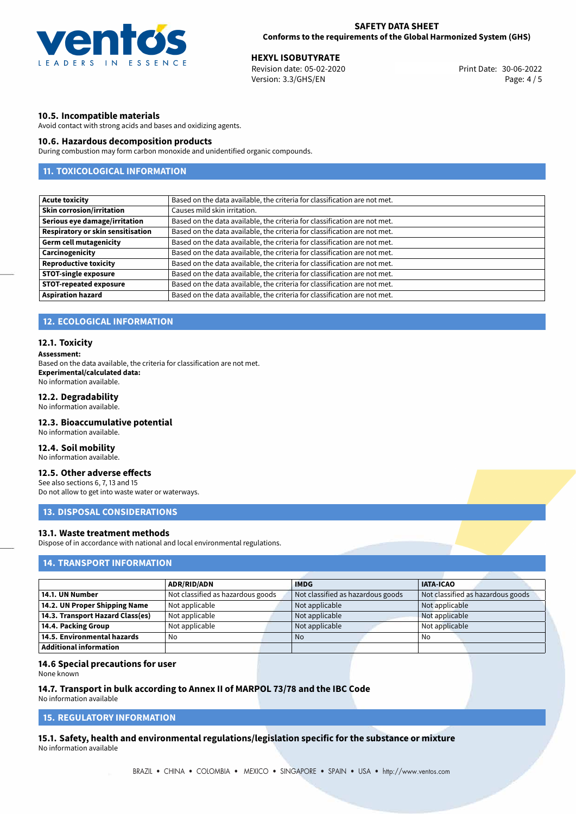

**HEXYL ISOBUTYRATE**<br>
Revision date: 05-02-2020 **Print Date: 30-06-2022** Version: 3.3/GHS/EN Page: 4 / 5

# **10.5. Incompatible materials**

Avoid contact with strong acids and bases and oxidizing agents.

# **10.6. Hazardous decomposition products**

During combustion may form carbon monoxide and unidentified organic compounds.

# **11. TOXICOLOGICAL INFORMATION**

| <b>Acute toxicity</b>             | Based on the data available, the criteria for classification are not met. |
|-----------------------------------|---------------------------------------------------------------------------|
| <b>Skin corrosion/irritation</b>  | Causes mild skin irritation.                                              |
| Serious eye damage/irritation     | Based on the data available, the criteria for classification are not met. |
| Respiratory or skin sensitisation | Based on the data available, the criteria for classification are not met. |
| <b>Germ cell mutagenicity</b>     | Based on the data available, the criteria for classification are not met. |
| Carcinogenicity                   | Based on the data available, the criteria for classification are not met. |
| <b>Reproductive toxicity</b>      | Based on the data available, the criteria for classification are not met. |
| <b>STOT-single exposure</b>       | Based on the data available, the criteria for classification are not met. |
| <b>STOT-repeated exposure</b>     | Based on the data available, the criteria for classification are not met. |
| <b>Aspiration hazard</b>          | Based on the data available, the criteria for classification are not met. |

# **12. ECOLOGICAL INFORMATION**

#### **12.1. Toxicity**

#### **Assessment:**

Based on the data available, the criteria for classification are not met. **Experimental/calculated data:** No information available.

# **12.2. Degradability**

No information available.

## **12.3. Bioaccumulative potential**

No information available.

# **12.4. Soil mobility**

No information available.

# **12.5. Other adverse effects**

See also sections 6, 7, 13 and 15 Do not allow to get into waste water or waterways.

# **13. DISPOSAL CONSIDERATIONS**

# **13.1. Waste treatment methods**

Dispose of in accordance with national and local environmental regulations.

# **14. TRANSPORT INFORMATION**

|                                    | <b>ADR/RID/ADN</b>                | <b>IMDG</b>                       | <b>IATA-ICAO</b>                  |
|------------------------------------|-----------------------------------|-----------------------------------|-----------------------------------|
| 14.1. UN Number                    | Not classified as hazardous goods | Not classified as hazardous goods | Not classified as hazardous goods |
| 14.2. UN Proper Shipping Name      | Not applicable                    | Not applicable                    | Not applicable                    |
| 14.3. Transport Hazard Class(es)   | Not applicable                    | Not applicable                    | Not applicable                    |
| 14.4. Packing Group                | Not applicable                    | Not applicable                    | Not applicable                    |
| $\mid$ 14.5. Environmental hazards | No                                | No.                               | No                                |
| Additional information             |                                   |                                   |                                   |

#### **14.6 Special precautions for user**

None known

#### **14.7. Transport in bulk according to Annex II of MARPOL 73/78 and the IBC Code**

No information available

# **15. REGULATORY INFORMATION**

**15.1. Safety, health and environmental regulations/legislation specific for the substance or mixture** No information available